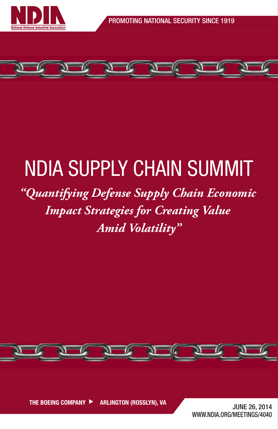



## NDIA SUPPLY CHAIN SUMMIT

## *"Quantifying Defense Supply Chain Economic Impact Strategies for Creating Value Amid Volatility"*

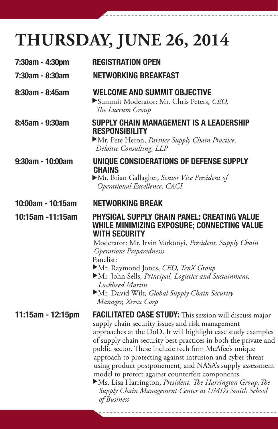## **THURSDAY, JUNE 26, 2014**

| 7:30am - 4:30pm       | <b>REGISTRATION OPEN</b>                                                                                                                                                                                                                                                                                                                                                                                                                                                                                                                                                                                                  |
|-----------------------|---------------------------------------------------------------------------------------------------------------------------------------------------------------------------------------------------------------------------------------------------------------------------------------------------------------------------------------------------------------------------------------------------------------------------------------------------------------------------------------------------------------------------------------------------------------------------------------------------------------------------|
| 7:30am - 8:30am       | <b>NETWORKING BREAKFAST</b>                                                                                                                                                                                                                                                                                                                                                                                                                                                                                                                                                                                               |
| $8:30$ am - $8:45$ am | <b>WELCOME AND SUMMIT OBJECTIVE</b><br>Summit Moderator: Mr. Chris Peters, CEO,<br>The Lucrum Group                                                                                                                                                                                                                                                                                                                                                                                                                                                                                                                       |
| 8:45am - 9:30am       | SUPPLY CHAIN MANAGEMENT IS A LEADERSHIP<br><b>RESPONSIBILITY</b><br>Mr. Pete Heron, Partner Supply Chain Practice,<br>Deloitte Consulting, LLP                                                                                                                                                                                                                                                                                                                                                                                                                                                                            |
| 9:30am - 10:00am      | UNIQUE CONSIDERATIONS OF DEFENSE SUPPLY<br><b>CHAINS</b><br>Mr. Brian Gallagher, Senior Vice President of<br>Operational Excellence, CACI                                                                                                                                                                                                                                                                                                                                                                                                                                                                                 |
| 10:00am - 10:15am     | <b>NETWORKING BREAK</b>                                                                                                                                                                                                                                                                                                                                                                                                                                                                                                                                                                                                   |
| 10:15am -11:15am      | <b>PHYSICAL SUPPLY CHAIN PANEL: CREATING VALUE</b><br>WHILE MINIMIZING EXPOSURE; CONNECTING VALUE<br><b>WITH SECURITY</b><br>Moderator: Mr. Irvin Varkonyi, President, Supply Chain<br><b>Operations Preparednesss</b><br>Panelist:<br>Mr. Raymond Jones, CEO, TenX Group<br>Mr. John Sells, Principal, Logistics and Sustainment,<br>Lockheed Martin<br>Mr. David Wilt, Global Supply Chain Security<br>Manager, Xerox Corp                                                                                                                                                                                              |
| $11:15$ am - 12:15pm  | FACILITATED CASE STUDY: This session will discuss major<br>supply chain security issues and risk management<br>approaches at the DoD. It will highlight case study examples<br>of supply chain security best practices in both the private and<br>public sector. These include tech firm McAfee's unique<br>approach to protecting against intrusion and cyber threat<br>using product postponement, and NASA's supply assessment<br>model to protect against counterfeit components.<br>Ms. Lisa Harrington, President, The Harrington Group; The<br>Supply Chain Management Center at UMD's Smith School<br>of Business |

------------

Ī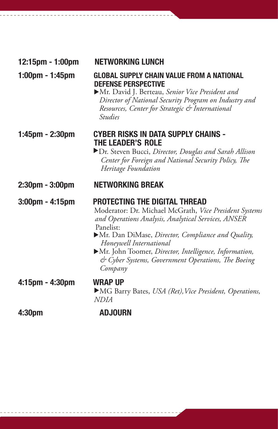| 12:15pm - 1:00pm                  | NETWORKING LUNCH                                                                                                                                                                                                                                                                                                                                                             |
|-----------------------------------|------------------------------------------------------------------------------------------------------------------------------------------------------------------------------------------------------------------------------------------------------------------------------------------------------------------------------------------------------------------------------|
| $1:00 \text{pm} - 1:45 \text{pm}$ | GLOBAL SUPPLY CHAIN VALUE FROM A NATIONAL<br><b>DEFENSE PERSPECTIVE</b><br>Mr. David J. Berteau, Senior Vice President and<br>Director of National Security Program on Industry and<br>Resources, Center for Strategic & International<br><i><u>Studies</u></i>                                                                                                              |
| $1:45$ pm - 2:30pm                | <b>CYBER RISKS IN DATA SUPPLY CHAINS -</b><br><b>THE LEADER'S ROLE</b><br>Dr. Steven Bucci, Director, Douglas and Sarah Allison<br>Center for Foreign and National Security Policy, The<br>Heritage Foundation                                                                                                                                                               |
| $2:30$ pm - $3:00$ pm             | <b>NETWORKING BREAK</b>                                                                                                                                                                                                                                                                                                                                                      |
| $3:00$ pm - 4:15pm                | <b>PROTECTING THE DIGITAL THREAD</b><br>Moderator: Dr. Michael McGrath, Vice President Systems<br>and Operations Analysis, Analytical Services, ANSER<br>Panelist:<br>Mr. Dan DiMase, Director, Compliance and Quality,<br>Honeywell International<br>Mr. John Toomer, Director, Intelligence, Information,<br>& Cyber Systems, Government Operations, The Boeing<br>Company |
| 4:15pm - 4:30pm                   | <b>WRAP UP</b><br>MG Barry Bates, USA (Ret), Vice President, Operations,<br><i>NDIA</i>                                                                                                                                                                                                                                                                                      |
| 4:30pm                            | <b>ADJOURN</b>                                                                                                                                                                                                                                                                                                                                                               |